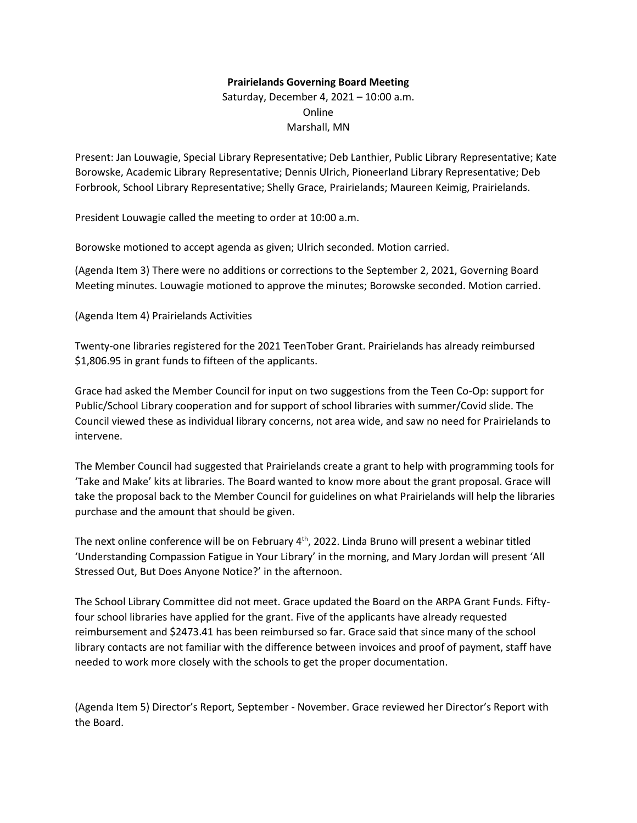## **Prairielands Governing Board Meeting**

Saturday, December 4, 2021 – 10:00 a.m. Online Marshall, MN

Present: Jan Louwagie, Special Library Representative; Deb Lanthier, Public Library Representative; Kate Borowske, Academic Library Representative; Dennis Ulrich, Pioneerland Library Representative; Deb Forbrook, School Library Representative; Shelly Grace, Prairielands; Maureen Keimig, Prairielands.

President Louwagie called the meeting to order at 10:00 a.m.

Borowske motioned to accept agenda as given; Ulrich seconded. Motion carried.

(Agenda Item 3) There were no additions or corrections to the September 2, 2021, Governing Board Meeting minutes. Louwagie motioned to approve the minutes; Borowske seconded. Motion carried.

(Agenda Item 4) Prairielands Activities

Twenty-one libraries registered for the 2021 TeenTober Grant. Prairielands has already reimbursed \$1,806.95 in grant funds to fifteen of the applicants.

Grace had asked the Member Council for input on two suggestions from the Teen Co-Op: support for Public/School Library cooperation and for support of school libraries with summer/Covid slide. The Council viewed these as individual library concerns, not area wide, and saw no need for Prairielands to intervene.

The Member Council had suggested that Prairielands create a grant to help with programming tools for 'Take and Make' kits at libraries. The Board wanted to know more about the grant proposal. Grace will take the proposal back to the Member Council for guidelines on what Prairielands will help the libraries purchase and the amount that should be given.

The next online conference will be on February 4<sup>th</sup>, 2022. Linda Bruno will present a webinar titled 'Understanding Compassion Fatigue in Your Library' in the morning, and Mary Jordan will present 'All Stressed Out, But Does Anyone Notice?' in the afternoon.

The School Library Committee did not meet. Grace updated the Board on the ARPA Grant Funds. Fiftyfour school libraries have applied for the grant. Five of the applicants have already requested reimbursement and \$2473.41 has been reimbursed so far. Grace said that since many of the school library contacts are not familiar with the difference between invoices and proof of payment, staff have needed to work more closely with the schools to get the proper documentation.

(Agenda Item 5) Director's Report, September - November. Grace reviewed her Director's Report with the Board.